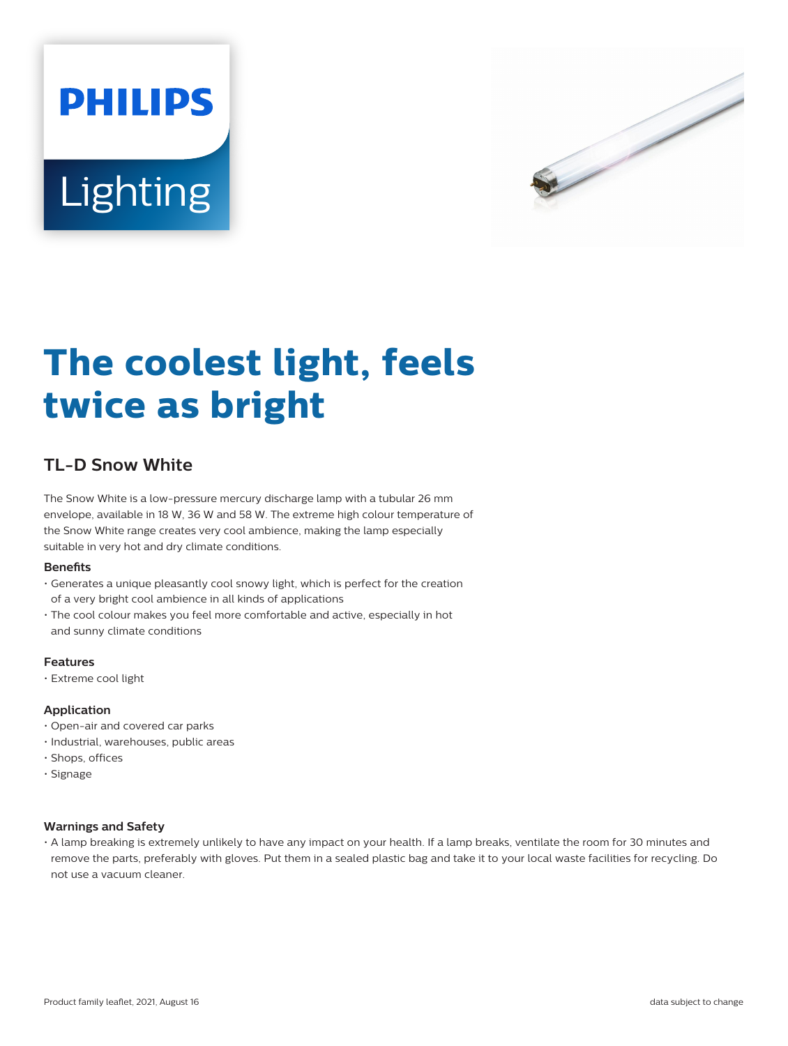



# **The coolest light, feels twice as bright**

# **TL-D Snow White**

The Snow White is a low-pressure mercury discharge lamp with a tubular 26 mm envelope, available in 18 W, 36 W and 58 W. The extreme high colour temperature of the Snow White range creates very cool ambience, making the lamp especially suitable in very hot and dry climate conditions.

## **Benets**

- Generates a unique pleasantly cool snowy light, which is perfect for the creation of a very bright cool ambience in all kinds of applications
- The cool colour makes you feel more comfortable and active, especially in hot and sunny climate conditions

## **Features**

• Extreme cool light

## **Application**

- Open-air and covered car parks
- Industrial, warehouses, public areas
- Shops, offices
- Signage

## **Warnings and Safety**

• A lamp breaking is extremely unlikely to have any impact on your health. If a lamp breaks, ventilate the room for 30 minutes and remove the parts, preferably with gloves. Put them in a sealed plastic bag and take it to your local waste facilities for recycling. Do not use a vacuum cleaner.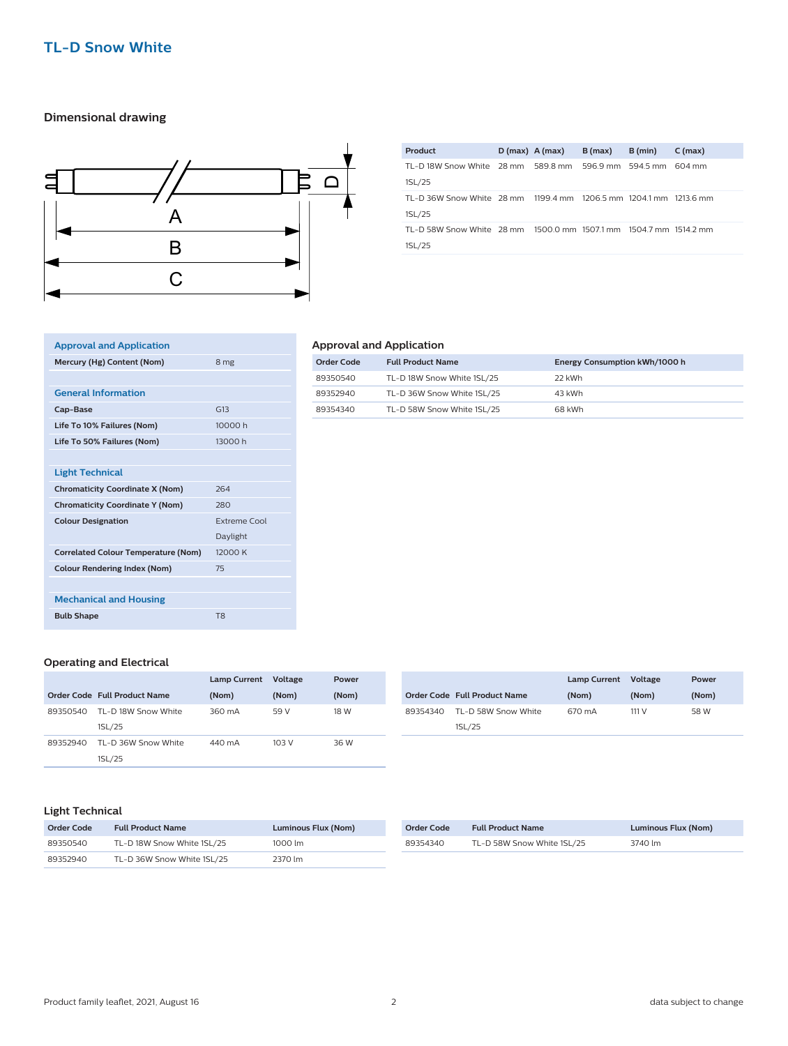## **TL-D Snow White**

## **Dimensional drawing**



| Product                                                           | $D(max)$ A (max) | B(max) | B (min) | $C$ (max) |
|-------------------------------------------------------------------|------------------|--------|---------|-----------|
| TL-D 18W Snow White 28 mm 589.8 mm 596.9 mm 594.5 mm 604 mm       |                  |        |         |           |
| 1SL/25                                                            |                  |        |         |           |
| TL-D 36W Snow White 28 mm 1199 4 mm 1206 5 mm 1204 1 mm 1213 6 mm |                  |        |         |           |
| 1SL/25                                                            |                  |        |         |           |
| TL-D 58W Snow White 28 mm 1500.0 mm 1507.1 mm 1504.7 mm 1514.2 mm |                  |        |         |           |
| 1SL/25                                                            |                  |        |         |           |
|                                                                   |                  |        |         |           |

## **Approval and Application Mercury (Hg) Content (Nom)** 8 mg **General Information Cap-Base** G13 **Life To 10% Failures (Nom)** 10000 h **Life To 50% Failures (Nom)** 13000 h **Light Technical Chromaticity Coordinate X (Nom)** 264 **Chromaticity Coordinate Y (Nom)** 280 **Colour Designation Extreme Cool** Daylight **Correlated Colour Temperature (Nom)** 12000 K **Colour Rendering Index (Nom)** 75 **Mechanical and Housing Bulb Shape** T8

## **Approval and Application**

| Order Code | <b>Full Product Name</b>   | Energy Consumption kWh/1000 h |
|------------|----------------------------|-------------------------------|
| 89350540   | TL-D 18W Snow White 1SL/25 | 22 kWh                        |
| 89352940   | TL-D 36W Snow White 1SL/25 | 43 kWh                        |
| 89354340   | TL-D 58W Snow White 1SL/25 | 68 kWh                        |

#### **Operating and Electrical**

|          |                              | <b>Lamp Current</b> | Voltage | Power |
|----------|------------------------------|---------------------|---------|-------|
|          | Order Code Full Product Name | (Nom)               | (Nom)   | (Nom) |
| 89350540 | TL-D 18W Snow White          | 360 mA              | 59 V    | 18 W  |
|          | 1SL/25                       |                     |         |       |
| 89352940 | TI -D 36W Snow White         | 440 mA              | 103 V   | 36 W  |
|          | 1SL/25                       |                     |         |       |

|          |                                     | <b>Lamp Current</b> | Voltage | Power |
|----------|-------------------------------------|---------------------|---------|-------|
|          | <b>Order Code Full Product Name</b> | (Nom)               | (Nom)   | (Nom) |
| 89354340 | TL-D 58W Snow White                 | 670 mA              | 111 V   | 58 W  |
|          | 1SL/25                              |                     |         |       |

#### **Light Technical**

| Order Code | <b>Full Product Name</b>   | Luminous Flux (Nom) |
|------------|----------------------------|---------------------|
| 89350540   | TL-D 18W Snow White 1SL/25 | 1000 lm             |
| 89352940   | TL-D 36W Snow White 1SL/25 | 2370 lm             |

| Order Code | <b>Full Product Name</b>   | Luminous Flux (Nom) |
|------------|----------------------------|---------------------|
| 89354340   | TL-D 58W Snow White 1SL/25 | 3740 lm             |